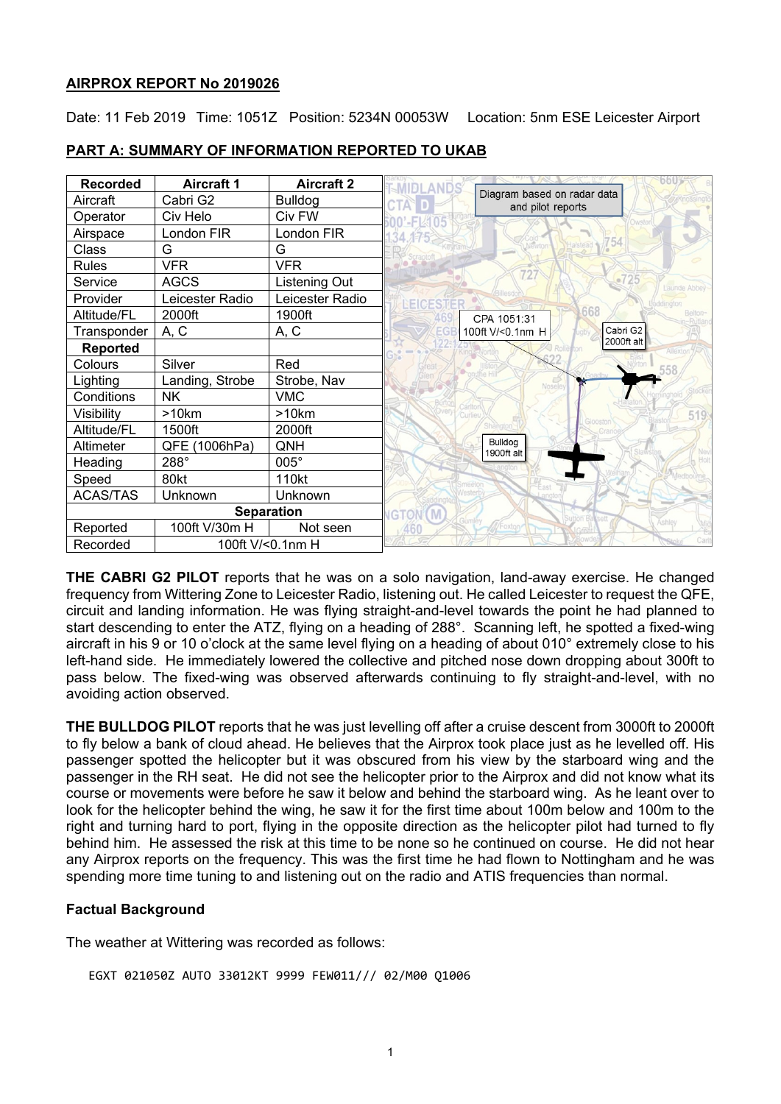## **AIRPROX REPORT No 2019026**

Date: 11 Feb 2019 Time: 1051Z Position: 5234N 00053W Location: 5nm ESE Leicester Airport

| <b>Recorded</b>              | <b>Aircraft 1</b> | <b>Aircraft 2</b> |                                                  |              |
|------------------------------|-------------------|-------------------|--------------------------------------------------|--------------|
| Aircraft                     | Cabri G2          | <b>Bulldog</b>    | Diagram based on radar data<br>and pilot reports |              |
| Operator                     | Civ Helo          | Civ FW            |                                                  |              |
| Airspace                     | London FIR        | London FIR        |                                                  |              |
| Class                        | G                 | G                 | 754                                              |              |
| <b>Rules</b>                 | <b>VFR</b>        | <b>VFR</b>        | 727                                              |              |
| Service                      | <b>AGCS</b>       | Listening Out     | 2725                                             | Launde Abbey |
| Provider                     | Leicester Radio   | Leicester Radio   |                                                  |              |
| Altitude/FL                  | 2000ft            | 1900ft            | 668<br>CPA 1051:31                               | Belton-      |
| Transponder                  | A, C              | A, C              | Cabri G2<br>100ft V/<0.1nm H                     |              |
| <b>Reported</b>              |                   |                   | 2000ft alt                                       |              |
| Colours                      | Silver            | Red               |                                                  |              |
| Lighting                     | Landing, Strobe   | Strobe, Nav       |                                                  |              |
| Conditions                   | <b>NK</b>         | <b>VMC</b>        |                                                  |              |
| Visibility                   | >10km             | >10km             |                                                  | 519          |
| Altitude/FL                  | 1500ft            | 2000ft            |                                                  |              |
| Altimeter                    | QFE<br>(1006hPa)  | QNH               | Bulldog<br>1900ft alt                            |              |
| Heading                      | 288°              | 005°              |                                                  |              |
| Speed                        | 80kt              | 110kt             |                                                  |              |
| <b>ACAS/TAS</b>              | Unknown           | Unknown           |                                                  |              |
| <b>Separation</b>            |                   |                   | <b>IGTON</b>                                     |              |
| Reported                     | 100ft V/30m H     | Not seen          | /Foxton                                          | Ashley       |
| 100ft V/<0.1nm H<br>Recorded |                   |                   |                                                  |              |

### **PART A: SUMMARY OF INFORMATION REPORTED TO UKAB**

**THE CABRI G2 PILOT** reports that he was on a solo navigation, land-away exercise. He changed frequency from Wittering Zone to Leicester Radio, listening out. He called Leicester to request the QFE, circuit and landing information. He was flying straight-and-level towards the point he had planned to start descending to enter the ATZ, flying on a heading of 288°. Scanning left, he spotted a fixed-wing aircraft in his 9 or 10 o'clock at the same level flying on a heading of about 010° extremely close to his left-hand side. He immediately lowered the collective and pitched nose down dropping about 300ft to pass below. The fixed-wing was observed afterwards continuing to fly straight-and-level, with no avoiding action observed.

**THE BULLDOG PILOT** reports that he was just levelling off after a cruise descent from 3000ft to 2000ft to fly below a bank of cloud ahead. He believes that the Airprox took place just as he levelled off. His passenger spotted the helicopter but it was obscured from his view by the starboard wing and the passenger in the RH seat. He did not see the helicopter prior to the Airprox and did not know what its course or movements were before he saw it below and behind the starboard wing. As he leant over to look for the helicopter behind the wing, he saw it for the first time about 100m below and 100m to the right and turning hard to port, flying in the opposite direction as the helicopter pilot had turned to fly behind him. He assessed the risk at this time to be none so he continued on course. He did not hear any Airprox reports on the frequency. This was the first time he had flown to Nottingham and he was spending more time tuning to and listening out on the radio and ATIS frequencies than normal.

# **Factual Background**

The weather at Wittering was recorded as follows:

EGXT 021050Z AUTO 33012KT 9999 FEW011/// 02/M00 Q1006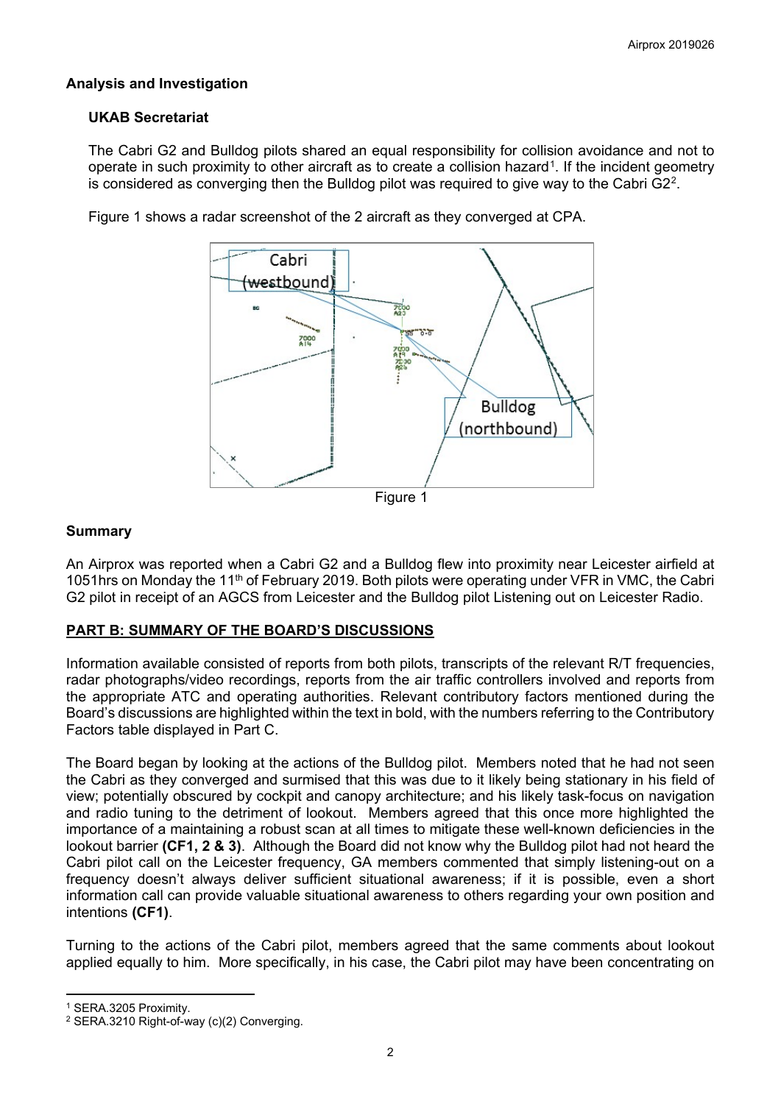## **Analysis and Investigation**

## **UKAB Secretariat**

The Cabri G2 and Bulldog pilots shared an equal responsibility for collision avoidance and not to operate in such proximity to other aircraft as to create a collision hazard<sup>[1](#page-1-0)</sup>. If the incident geometry is considered as converging then the Bulldog pilot was required to give way to the Cabri  $G2<sup>2</sup>$ .



Figure 1 shows a radar screenshot of the 2 aircraft as they converged at CPA.

#### **Summary**

An Airprox was reported when a Cabri G2 and a Bulldog flew into proximity near Leicester airfield at 1051hrs on Monday the 11th of February 2019. Both pilots were operating under VFR in VMC, the Cabri G2 pilot in receipt of an AGCS from Leicester and the Bulldog pilot Listening out on Leicester Radio.

### **PART B: SUMMARY OF THE BOARD'S DISCUSSIONS**

Information available consisted of reports from both pilots, transcripts of the relevant R/T frequencies, radar photographs/video recordings, reports from the air traffic controllers involved and reports from the appropriate ATC and operating authorities. Relevant contributory factors mentioned during the Board's discussions are highlighted within the text in bold, with the numbers referring to the Contributory Factors table displayed in Part C.

The Board began by looking at the actions of the Bulldog pilot. Members noted that he had not seen the Cabri as they converged and surmised that this was due to it likely being stationary in his field of view; potentially obscured by cockpit and canopy architecture; and his likely task-focus on navigation and radio tuning to the detriment of lookout. Members agreed that this once more highlighted the importance of a maintaining a robust scan at all times to mitigate these well-known deficiencies in the lookout barrier **(CF1, 2 & 3)**. Although the Board did not know why the Bulldog pilot had not heard the Cabri pilot call on the Leicester frequency, GA members commented that simply listening-out on a frequency doesn't always deliver sufficient situational awareness; if it is possible, even a short information call can provide valuable situational awareness to others regarding your own position and intentions **(CF1)**.

Turning to the actions of the Cabri pilot, members agreed that the same comments about lookout applied equally to him. More specifically, in his case, the Cabri pilot may have been concentrating on

 $\overline{a}$ 

<span id="page-1-0"></span><sup>1</sup> SERA.3205 Proximity.

<span id="page-1-1"></span><sup>2</sup> SERA.3210 Right-of-way (c)(2) Converging.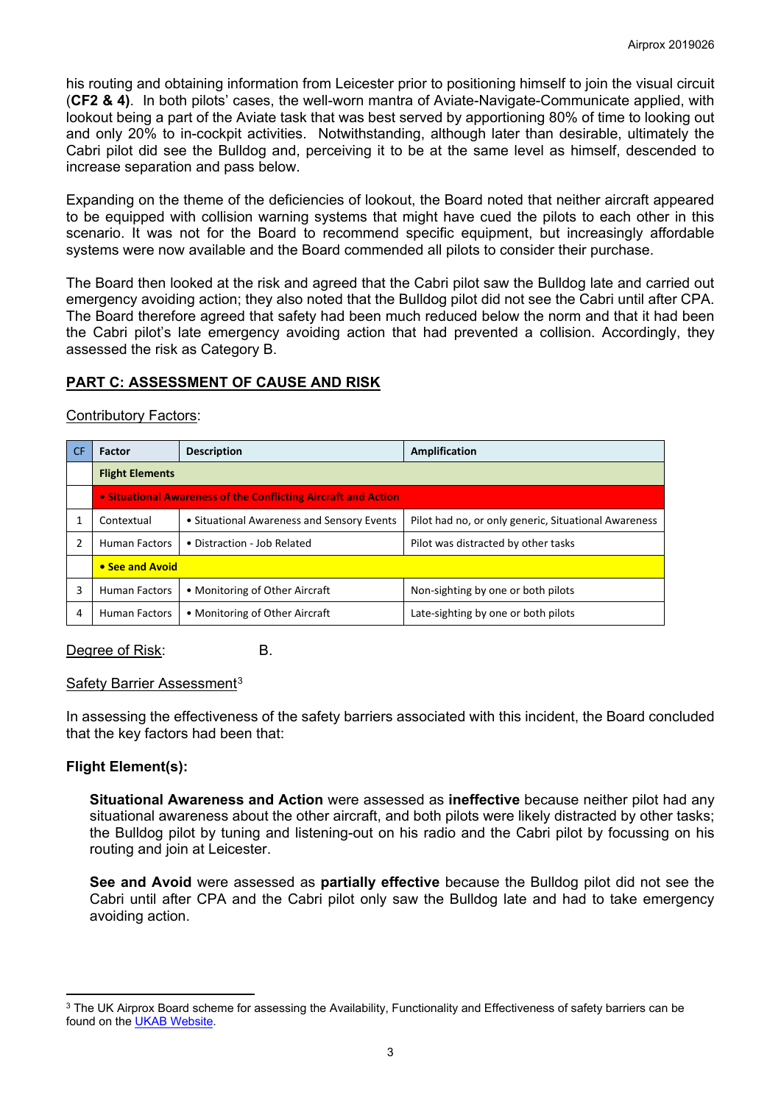his routing and obtaining information from Leicester prior to positioning himself to join the visual circuit (**CF2 & 4)**. In both pilots' cases, the well-worn mantra of Aviate-Navigate-Communicate applied, with lookout being a part of the Aviate task that was best served by apportioning 80% of time to looking out and only 20% to in-cockpit activities. Notwithstanding, although later than desirable, ultimately the Cabri pilot did see the Bulldog and, perceiving it to be at the same level as himself, descended to increase separation and pass below.

Expanding on the theme of the deficiencies of lookout, the Board noted that neither aircraft appeared to be equipped with collision warning systems that might have cued the pilots to each other in this scenario. It was not for the Board to recommend specific equipment, but increasingly affordable systems were now available and the Board commended all pilots to consider their purchase.

The Board then looked at the risk and agreed that the Cabri pilot saw the Bulldog late and carried out emergency avoiding action; they also noted that the Bulldog pilot did not see the Cabri until after CPA. The Board therefore agreed that safety had been much reduced below the norm and that it had been the Cabri pilot's late emergency avoiding action that had prevented a collision. Accordingly, they assessed the risk as Category B.

# **PART C: ASSESSMENT OF CAUSE AND RISK**

## Contributory Factors:

| CF.           | Factor                                                         | <b>Description</b>                         | Amplification                                        |  |  |  |
|---------------|----------------------------------------------------------------|--------------------------------------------|------------------------------------------------------|--|--|--|
|               | <b>Flight Elements</b>                                         |                                            |                                                      |  |  |  |
|               | • Situational Awareness of the Conflicting Aircraft and Action |                                            |                                                      |  |  |  |
|               | Contextual                                                     | • Situational Awareness and Sensory Events | Pilot had no, or only generic, Situational Awareness |  |  |  |
| $\mathcal{P}$ | <b>Human Factors</b>                                           | • Distraction - Job Related                | Pilot was distracted by other tasks                  |  |  |  |
|               | • See and Avoid                                                |                                            |                                                      |  |  |  |
| 3             | <b>Human Factors</b>                                           | • Monitoring of Other Aircraft             | Non-sighting by one or both pilots                   |  |  |  |
| 4             | • Monitoring of Other Aircraft<br><b>Human Factors</b>         |                                            | Late-sighting by one or both pilots                  |  |  |  |

Degree of Risk: B.

### Safety Barrier Assessment[3](#page-2-0)

In assessing the effectiveness of the safety barriers associated with this incident, the Board concluded that the key factors had been that:

# **Flight Element(s):**

 $\overline{a}$ 

**Situational Awareness and Action** were assessed as **ineffective** because neither pilot had any situational awareness about the other aircraft, and both pilots were likely distracted by other tasks; the Bulldog pilot by tuning and listening-out on his radio and the Cabri pilot by focussing on his routing and join at Leicester.

**See and Avoid** were assessed as **partially effective** because the Bulldog pilot did not see the Cabri until after CPA and the Cabri pilot only saw the Bulldog late and had to take emergency avoiding action.

<span id="page-2-0"></span><sup>&</sup>lt;sup>3</sup> The UK Airprox Board scheme for assessing the Availability, Functionality and Effectiveness of safety barriers can be found on the [UKAB Website.](http://www.airproxboard.org.uk/Learn-more/Airprox-Barrier-Assessment/)